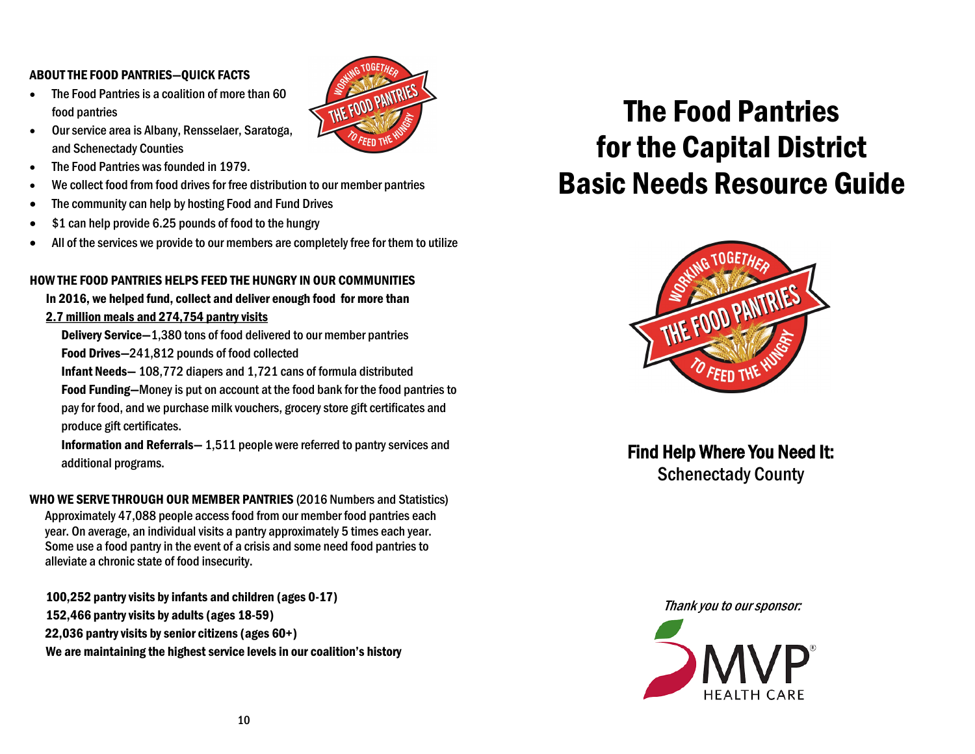#### ABOUT THE FOOD PANTRIES—QUICK FACTS

• The Food Pantries is a coalition of more than 60 food pantries



- The Food Pantries was founded in 1979.
- We collect food from food drives for free distribution to our member pantries
- The community can help by hosting Food and Fund Drives
- \$1 can help provide 6.25 pounds of food to the hungry
- All of the services we provide to our members are completely free for them to utilize

THE FOOD PANTRIES

#### HOW THE FOOD PANTRIES HELPS FEED THE HUNGRY IN OUR COMMUNITIES

In 2016, we helped fund, collect and deliver enough food for more than 2.7 million meals and 274,754 pantry visits

Delivery Service—1,380 tons of food delivered to our member pantries Food Drives—241,812 pounds of food collected

Infant Needs— 108,772 diapers and 1,721 cans of formula distributed

 Food Funding—Money is put on account at the food bank for the food pantries to pay for food, and we purchase milk vouchers, grocery store gift certificates and produce gift certificates.

 Information and Referrals— 1,511 people were referred to pantry services and additional programs.

WHO WE SERVE THROUGH OUR MEMBER PANTRIES (2016 Numbers and Statistics) Approximately 47,088 people access food from our member food pantries each year. On average, an individual visits a pantry approximately 5 times each year. Some use a food pantry in the event of a crisis and some need food pantries to alleviate a chronic state of food insecurity.

100,252 pantry visits by infants and children (ages 0-17) 152,466 pantry visits by adults (ages 18-59) 22,036 pantry visits by senior citizens (ages 60+) We are maintaining the highest service levels in our coalition's history

# The Food Pantries for the Capital District Basic Needs Resource Guide



Find Help Where You Need It: Schenectady County

Thank you to our sponsor:

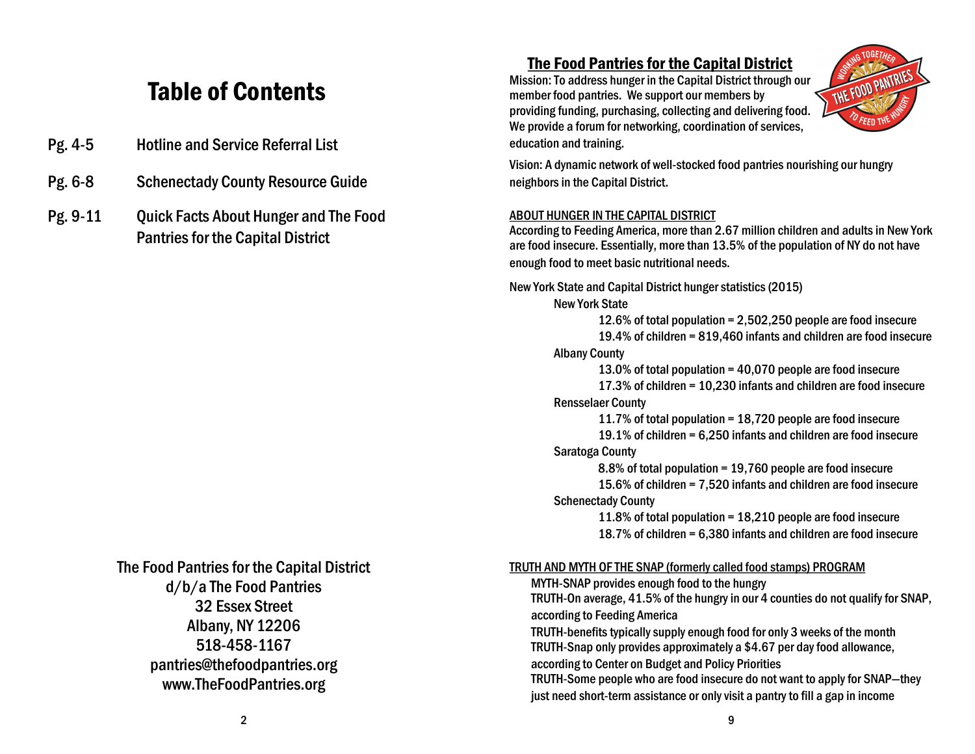## Table of Contents

- Pg. 4-5 Hotline and Service Referral List
- Pg. 6-8 Schenectady County Resource Guide
- Pg. 9-11 Quick Facts About Hunger and The Food Pantries for the Capital District

#### The Food Pantries for the Capital District d/b/a The Food Pantries 32 Essex Street Albany, NY 12206 518-458-1167 pantries@thefoodpantries.org www.TheFoodPantries.org

#### The Food Pantries for the Capital District

Mission: To address hunger in the Capital District through our member food pantries. We support our members by providing funding, purchasing, collecting and delivering food. We provide a forum for networking, coordination of services, education and training.



Vision: A dynamic network of well-stocked food pantries nourishing our hungry neighbors in the Capital District.

#### ABOUT HUNGER IN THE CAPITAL DISTRICT

According to Feeding America, more than 2.67 million children and adults in New York are food insecure. Essentially, more than 13.5% of the population of NY do not have enough food to meet basic nutritional needs.

New York State and Capital District hunger statistics (2015)

New York State

12.6% of total population = 2,502,250 people are food insecure 19.4% of children = 819,460 infants and children are food insecure Albany County

13.0% of total population = 40,070 people are food insecure 17.3% of children = 10,230 infants and children are food insecure Rensselaer County

11.7% of total population = 18,720 people are food insecure 19.1% of children = 6,250 infants and children are food insecure

#### Saratoga County

8.8% of total population = 19,760 people are food insecure

15.6% of children = 7,520 infants and children are food insecure Schenectady County

11.8% of total population = 18,210 people are food insecure 18.7% of children = 6,380 infants and children are food insecure

#### TRUTH AND MYTH OF THE SNAP (formerly called food stamps) PROGRAM

MYTH-SNAP provides enough food to the hungry TRUTH-On average, 41.5% of the hungry in our 4 counties do not qualify for SNAP, according to Feeding America

TRUTH-benefits typically supply enough food for only 3 weeks of the month TRUTH-Snap only provides approximately a \$4.67 per day food allowance, according to Center on Budget and Policy Priorities

TRUTH-Some people who are food insecure do not want to apply for SNAP—they just need short-term assistance or only visit a pantry to fill a gap in income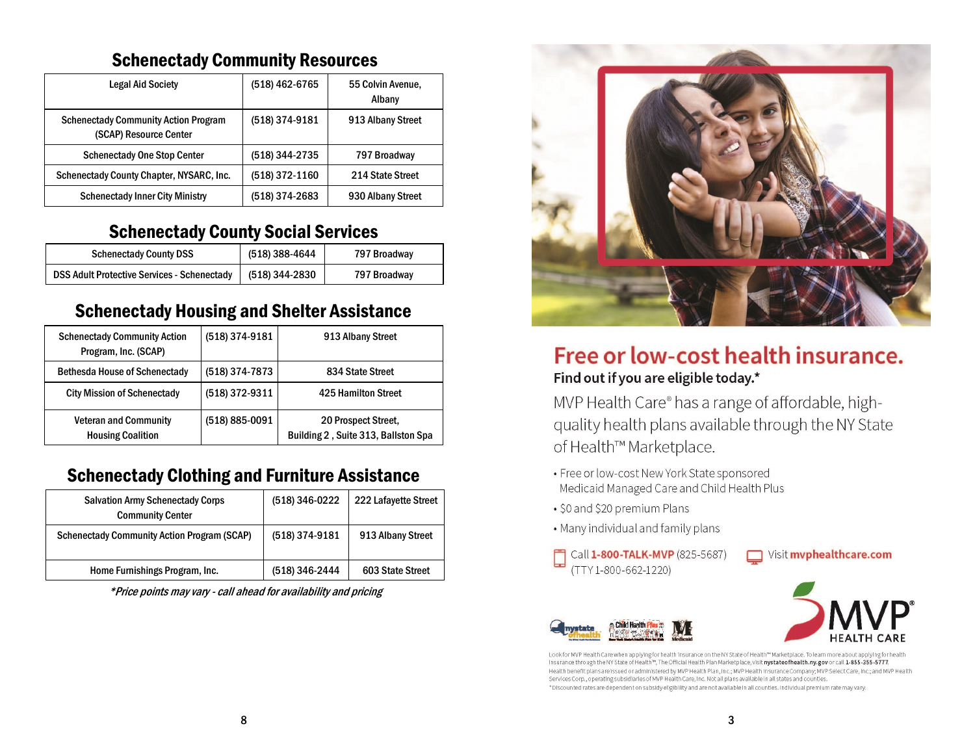### Schenectady Community Resources

| <b>Legal Aid Society</b>                                              | (518) 462-6765 | 55 Colvin Avenue,<br>Albany |
|-----------------------------------------------------------------------|----------------|-----------------------------|
| <b>Schenectady Community Action Program</b><br>(SCAP) Resource Center | (518) 374-9181 | 913 Albany Street           |
| <b>Schenectady One Stop Center</b>                                    | (518) 344-2735 | 797 Broadway                |
| Schenectady County Chapter, NYSARC, Inc.                              | (518) 372-1160 | 214 State Street            |
| <b>Schenectady Inner City Ministry</b>                                | (518) 374-2683 | 930 Albany Street           |

### Schenectady County Social Services

| <b>Schenectady County DSS</b>                      | (518) 388-4644 | 797 Broadway |
|----------------------------------------------------|----------------|--------------|
| <b>DSS Adult Protective Services - Schenectady</b> | (518) 344-2830 | 797 Broadway |

### Schenectady Housing and Shelter Assistance

| <b>Schenectady Community Action</b><br>Program, Inc. (SCAP) | (518) 374-9181 | 913 Albany Street                                          |
|-------------------------------------------------------------|----------------|------------------------------------------------------------|
| <b>Bethesda House of Schenectady</b>                        | (518) 374-7873 | 834 State Street                                           |
| <b>City Mission of Schenectady</b>                          | (518) 372-9311 | <b>425 Hamilton Street</b>                                 |
| <b>Veteran and Community</b><br><b>Housing Coalition</b>    | (518) 885-0091 | 20 Prospect Street,<br>Building 2, Suite 313, Ballston Spa |

### Schenectady Clothing and Furniture Assistance

| <b>Salvation Army Schenectady Corps</b><br><b>Community Center</b> | (518) 346-0222 | 222 Lafayette Street |
|--------------------------------------------------------------------|----------------|----------------------|
| <b>Schenectady Community Action Program (SCAP)</b>                 | (518) 374-9181 | 913 Albany Street    |
| Home Furnishings Program, Inc.                                     | (518) 346-2444 | 603 State Street     |

\*Price points may vary - call ahead for availability and pricing



### Free or low-cost health insurance. Find out if you are eligible today.\*

MVP Health Care® has a range of affordable, highquality health plans available through the NY State of Health™ Marketplace.

- Free or low-cost New York State sponsored Medicaid Managed Care and Child Health Plus
- · \$0 and \$20 premium Plans
- . Many individual and family plans
- Call 1-800-TALK-MVP (825-5687) (TTY 1-800-662-1220)





Look for MVP Health Care when applying for health insurance on the NY State of Health™ Marketplace. To learn more about applying for health insurance through the NY State of Health™, The Official Health Plan Marketplace, visit nystateofhealth.ny.gov or call 1-855-355-5777. Health benefit plans are issued or administered by MVP Health Plan, Inc.; MVP Health Insurance Company; MVP Select Care, Inc.; and MVP Health Services Corp., operating subsidiaries of MVP Health Care, Inc. Not all plans available in all states and counties. \*Discounted rates are dependent on subsidy eligibility and are not available in all counties. Individual premium rate may vary.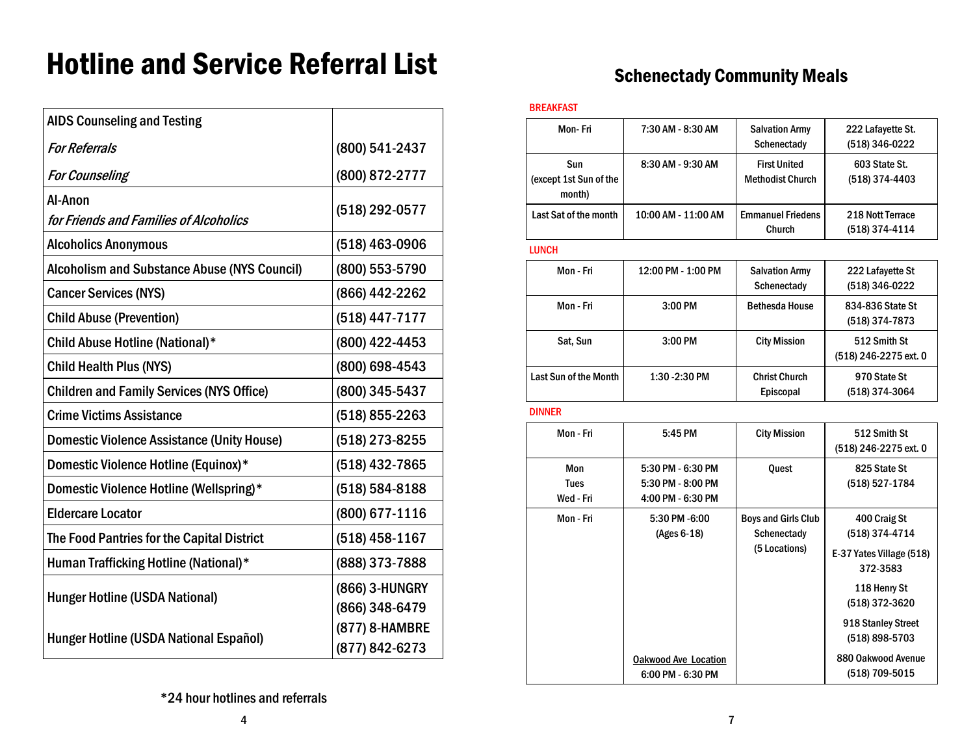# Hotline and Service Referral List

| <b>AIDS Counseling and Testing</b>                  |                                  |
|-----------------------------------------------------|----------------------------------|
| <b>For Referrals</b>                                | (800) 541-2437                   |
| <b>For Counseling</b>                               | (800) 872-2777                   |
| Al-Anon<br>for Friends and Families of Alcoholics   | (518) 292-0577                   |
| <b>Alcoholics Anonymous</b>                         | (518) 463-0906                   |
| <b>Alcoholism and Substance Abuse (NYS Council)</b> | (800) 553-5790                   |
| <b>Cancer Services (NYS)</b>                        | (866) 442-2262                   |
| <b>Child Abuse (Prevention)</b>                     | (518) 447-7177                   |
| Child Abuse Hotline (National)*                     | (800) 422-4453                   |
| <b>Child Health Plus (NYS)</b>                      | (800) 698-4543                   |
| <b>Children and Family Services (NYS Office)</b>    | (800) 345-5437                   |
| <b>Crime Victims Assistance</b>                     | (518) 855-2263                   |
| <b>Domestic Violence Assistance (Unity House)</b>   | (518) 273-8255                   |
| Domestic Violence Hotline (Equinox)*                | (518) 432-7865                   |
| Domestic Violence Hotline (Wellspring)*             | (518) 584-8188                   |
| <b>Eldercare Locator</b>                            | (800) 677-1116                   |
| The Food Pantries for the Capital District          | (518) 458-1167                   |
| Human Trafficking Hotline (National)*               | (888) 373-7888                   |
| <b>Hunger Hotline (USDA National)</b>               | (866) 3-HUNGRY<br>(866) 348-6479 |
| Hunger Hotline (USDA National Español)              | (877) 8-HAMBRE<br>(877) 842-6273 |

### Schenectady Community Meals

#### BREAKFAST

| 7:30 AM - 8:30 AM   | <b>Salvation Army</b><br>Schenectady           | 222 Lafayette St.<br>(518) 346-0222   |
|---------------------|------------------------------------------------|---------------------------------------|
| 8:30 AM - 9:30 AM   | <b>First United</b><br><b>Methodist Church</b> | 603 State St.<br>(518) 374-4403       |
| 10:00 AM - 11:00 AM | <b>Emmanuel Friedens</b><br>Church             | 218 Nott Terrace<br>(518) 374-4114    |
|                     |                                                |                                       |
| 12:00 PM - 1:00 PM  | <b>Salvation Army</b><br>Schenectady           | 222 Lafayette St<br>(518) 346-0222    |
| 3:00 PM             | <b>Bethesda House</b>                          | 834-836 State St<br>(518) 374-7873    |
| 3:00 PM             | <b>City Mission</b>                            | 512 Smith St<br>(518) 246-2275 ext. 0 |
| 1:30 - 2:30 PM      | <b>Christ Church</b><br>Episcopal              | 970 State St<br>(518) 374-3064        |
|                     |                                                |                                       |

| Mon - Fri                       | 5:45 PM                                                     | <b>City Mission</b>                                        | 512 Smith St<br>(518) 246-2275 ext. 0                                                                                                            |
|---------------------------------|-------------------------------------------------------------|------------------------------------------------------------|--------------------------------------------------------------------------------------------------------------------------------------------------|
| Mon<br><b>Tues</b><br>Wed - Fri | 5:30 PM - 6:30 PM<br>5:30 PM - 8:00 PM<br>4:00 PM - 6:30 PM | Quest                                                      | 825 State St<br>(518) 527-1784                                                                                                                   |
| Mon - Fri                       | 5:30 PM -6:00<br>(Ages 6-18)                                | <b>Boys and Girls Club</b><br>Schenectady<br>(5 Locations) | 400 Craig St<br>(518) 374-4714<br>E-37 Yates Village (518)<br>372-3583<br>118 Henry St<br>(518) 372-3620<br>918 Stanley Street<br>(518) 898-5703 |
|                                 | <b>Oakwood Ave Location</b><br>6:00 PM - 6:30 PM            |                                                            | 880 Oakwood Avenue<br>(518) 709-5015                                                                                                             |

\*24 hour hotlines and referrals